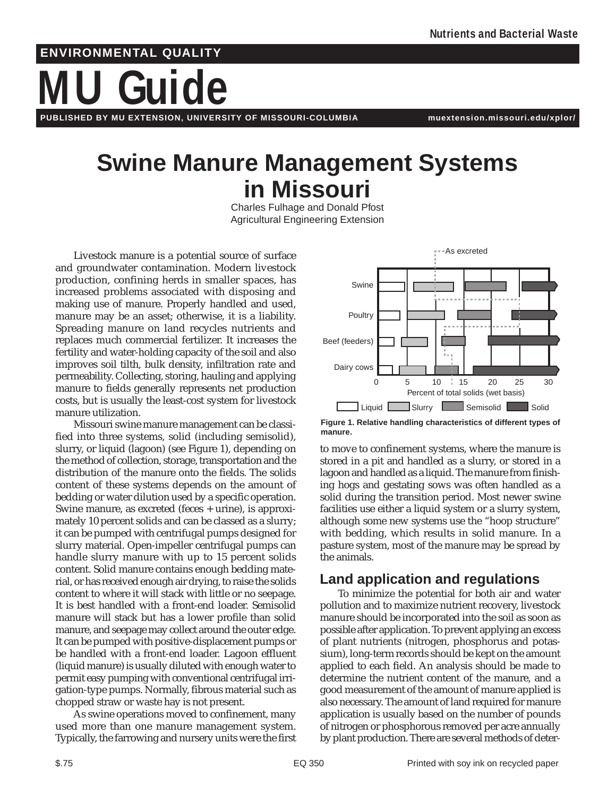# **ENVIRONMENTAL QUALITY**

# **MU Guide**

**PUBLISHED BY MU EXTENSION, UNIVERSITY OF MISSOURI-COLUMBIA muextension.missouri.edu/xplor/**

# **Swine Manure Management Systems in Missouri**

Charles Fulhage and Donald Pfost Agricultural Engineering Extension

Livestock manure is a potential source of surface and groundwater contamination. Modern livestock production, confining herds in smaller spaces, has increased problems associated with disposing and making use of manure. Properly handled and used, manure may be an asset; otherwise, it is a liability. Spreading manure on land recycles nutrients and replaces much commercial fertilizer. It increases the fertility and water-holding capacity of the soil and also improves soil tilth, bulk density, infiltration rate and permeability. Collecting, storing, hauling and applying manure to fields generally represents net production costs, but is usually the least-cost system for livestock manure utilization.

Missouri swine manure management can be classified into three systems, solid (including semisolid), slurry, or liquid (lagoon) (see Figure 1), depending on the method of collection, storage, transportation and the distribution of the manure onto the fields. The solids content of these systems depends on the amount of bedding or water dilution used by a specific operation. Swine manure, as excreted (feces + urine), is approximately 10 percent solids and can be classed as a slurry; it can be pumped with centrifugal pumps designed for slurry material. Open-impeller centrifugal pumps can handle slurry manure with up to 15 percent solids content. Solid manure contains enough bedding material, or has received enough air drying, to raise the solids content to where it will stack with little or no seepage. It is best handled with a front-end loader. Semisolid manure will stack but has a lower profile than solid manure, and seepage may collect around the outer edge. It can be pumped with positive-displacement pumps or be handled with a front-end loader. Lagoon effluent (liquid manure) is usually diluted with enough water to permit easy pumping with conventional centrifugal irrigation-type pumps. Normally, fibrous material such as chopped straw or waste hay is not present.

As swine operations moved to confinement, many used more than one manure management system. Typically, the farrowing and nursery units were the first



**Figure 1. Relative handling characteristics of different types of manure.**

to move to confinement systems, where the manure is stored in a pit and handled as a slurry, or stored in a lagoon and handled as a liquid. The manure from finishing hogs and gestating sows was often handled as a solid during the transition period. Most newer swine facilities use either a liquid system or a slurry system, although some new systems use the "hoop structure" with bedding, which results in solid manure. In a pasture system, most of the manure may be spread by the animals.

## **Land application and regulations**

To minimize the potential for both air and water pollution and to maximize nutrient recovery, livestock manure should be incorporated into the soil as soon as possible after application. To prevent applying an excess of plant nutrients (nitrogen, phosphorus and potassium), long-term records should be kept on the amount applied to each field. An analysis should be made to determine the nutrient content of the manure, and a good measurement of the amount of manure applied is also necessary. The amount of land required for manure application is usually based on the number of pounds of nitrogen or phosphorous removed per acre annually by plant production. There are several methods of deter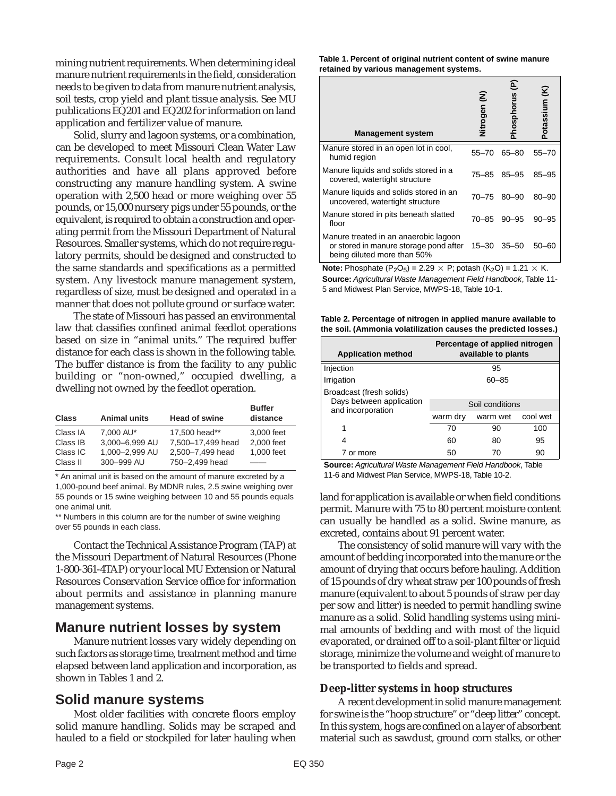mining nutrient requirements. When determining ideal manure nutrient requirements in the field, consideration needs to be given to data from manure nutrient analysis, soil tests, crop yield and plant tissue analysis. See MU publications EQ201 and EQ202 for information on land application and fertilizer value of manure.

Solid, slurry and lagoon systems, or a combination, can be developed to meet Missouri Clean Water Law requirements. Consult local health and regulatory authorities and have all plans approved before constructing any manure handling system. A swine operation with 2,500 head or more weighing over 55 pounds, or 15,000 nursery pigs under 55 pounds, or the equivalent, is required to obtain a construction and operating permit from the Missouri Department of Natural Resources. Smaller systems, which do not require regulatory permits, should be designed and constructed to the same standards and specifications as a permitted system. Any livestock manure management system, regardless of size, must be designed and operated in a manner that does not pollute ground or surface water.

The state of Missouri has passed an environmental law that classifies confined animal feedlot operations based on size in "animal units." The required buffer distance for each class is shown in the following table. The buffer distance is from the facility to any public building or "non-owned," occupied dwelling, a dwelling not owned by the feedlot operation.

| <b>Class</b> | <b>Animal units</b> | <b>Head of swine</b> | <b>Buffer</b><br>distance |
|--------------|---------------------|----------------------|---------------------------|
| Class IA     | 7.000 AU*           | 17.500 head**        | 3,000 feet                |
| Class IB     | 3.000-6.999 AU      | 7.500-17.499 head    | 2,000 feet                |
| Class IC     | 1,000-2,999 AU      | 2,500-7,499 head     | 1.000 feet                |
| Class II     | 300-999 AU          | 750-2,499 head       |                           |

\* An animal unit is based on the amount of manure excreted by a 1,000-pound beef animal. By MDNR rules, 2.5 swine weighing over 55 pounds or 15 swine weighing between 10 and 55 pounds equals one animal unit.

\*\* Numbers in this column are for the number of swine weighing over 55 pounds in each class.

Contact the Technical Assistance Program (TAP) at the Missouri Department of Natural Resources (Phone 1-800-361-4TAP) or your local MU Extension or Natural Resources Conservation Service office for information about permits and assistance in planning manure management systems.

#### **Manure nutrient losses by system**

Manure nutrient losses vary widely depending on such factors as storage time, treatment method and time elapsed between land application and incorporation, as shown in Tables 1 and 2.

#### **Solid manure systems**

Most older facilities with concrete floors employ solid manure handling. Solids may be scraped and hauled to a field or stockpiled for later hauling when **Table 1. Percent of original nutrient content of swine manure retained by various management systems.**

| <b>Management system</b>                                                                                       | Nitrogen (N) | E<br><b>Phosphorus</b> | Potassium (K) |  |
|----------------------------------------------------------------------------------------------------------------|--------------|------------------------|---------------|--|
| Manure stored in an open lot in cool,<br>humid region                                                          | 55-70        | $65 - 80$              | $55 - 70$     |  |
| Manure liquids and solids stored in a<br>covered, watertight structure                                         | 75–85        | $85 - 95$              | $85 - 95$     |  |
| Manure liquids and solids stored in an<br>uncovered, watertight structure                                      | $70 - 75$    | $80 - 90$              | $80 - 90$     |  |
| Manure stored in pits beneath slatted<br>floor                                                                 | 70–85        | $90 - 95$              | $90 - 95$     |  |
| Manure treated in an anaerobic lagoon<br>or stored in manure storage pond after<br>being diluted more than 50% | $15 - 30$    | $35 - 50$              | $50 - 60$     |  |
| <b>Note:</b> Phosphate $(P_2Q_5) = 2.29 \times P$ potash $(K_2Q) = 1.21 \times K$ .                            |              |                        |               |  |

 $(\Gamma_2 \cup_{5} )$ P; potash  $(K_2O) = 1.21 \times$  K. **Source:** Agricultural Waste Management Field Handbook, Table 11- 5 and Midwest Plan Service, MWPS-18, Table 10-1.

**Table 2. Percentage of nitrogen in applied manure available to the soil. (Ammonia volatilization causes the predicted losses.)**

| <b>Application method</b>                            | Percentage of applied nitrogen<br>available to plants |          |          |  |
|------------------------------------------------------|-------------------------------------------------------|----------|----------|--|
| Injection                                            | 95                                                    |          |          |  |
| Irrigation                                           | $60 - 85$                                             |          |          |  |
| Broadcast (fresh solids)<br>Days between application |                                                       |          |          |  |
| and incorporation                                    | Soil conditions                                       |          |          |  |
|                                                      | warm dry                                              | warm wet | cool wet |  |
| 1                                                    | 70                                                    | 90       | 100      |  |
| 4                                                    | 60                                                    | 80       | 95       |  |
| 7 or more                                            | 50                                                    | 70       | 90       |  |

**Source:** Agricultural Waste Management Field Handbook, Table 11-6 and Midwest Plan Service, MWPS-18, Table 10-2.

land for application is available or when field conditions permit. Manure with 75 to 80 percent moisture content can usually be handled as a solid. Swine manure, as excreted, contains about 91 percent water.

The consistency of solid manure will vary with the amount of bedding incorporated into the manure or the amount of drying that occurs before hauling. Addition of 15 pounds of dry wheat straw per 100 pounds of fresh manure (equivalent to about 5 pounds of straw per day per sow and litter) is needed to permit handling swine manure as a solid. Solid handling systems using minimal amounts of bedding and with most of the liquid evaporated, or drained off to a soil-plant filter or liquid storage, minimize the volume and weight of manure to be transported to fields and spread.

#### **Deep-litter systems in hoop structures**

A recent development in solid manure management for swine is the "hoop structure" or "deep litter" concept. In this system, hogs are confined on a layer of absorbent material such as sawdust, ground corn stalks, or other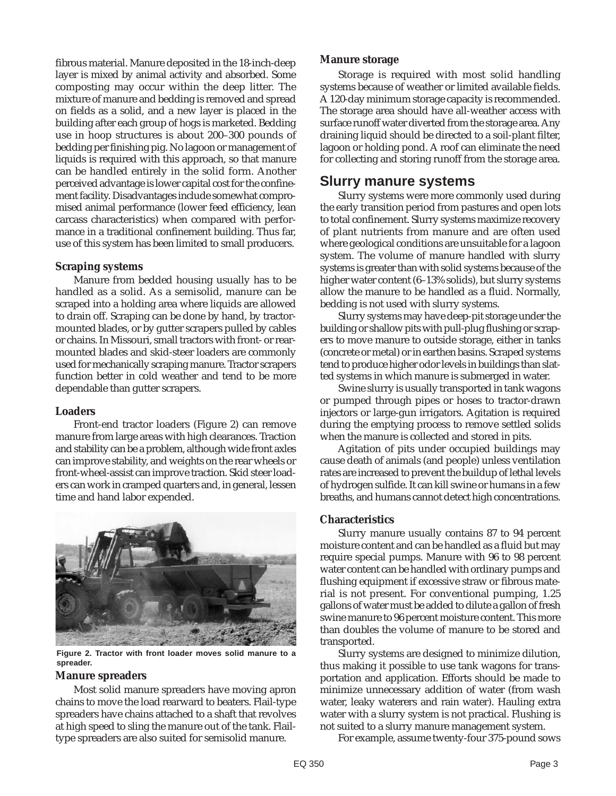fibrous material. Manure deposited in the 18-inch-deep layer is mixed by animal activity and absorbed. Some composting may occur within the deep litter. The mixture of manure and bedding is removed and spread on fields as a solid, and a new layer is placed in the building after each group of hogs is marketed. Bedding use in hoop structures is about 200–300 pounds of bedding per finishing pig. No lagoon or management of liquids is required with this approach, so that manure can be handled entirely in the solid form. Another perceived advantage is lower capital cost for the confinement facility. Disadvantages include somewhat compromised animal performance (lower feed efficiency, lean carcass characteristics) when compared with performance in a traditional confinement building. Thus far, use of this system has been limited to small producers.

#### **Scraping systems**

Manure from bedded housing usually has to be handled as a solid. As a semisolid, manure can be scraped into a holding area where liquids are allowed to drain off. Scraping can be done by hand, by tractormounted blades, or by gutter scrapers pulled by cables or chains. In Missouri, small tractors with front- or rearmounted blades and skid-steer loaders are commonly used for mechanically scraping manure. Tractor scrapers function better in cold weather and tend to be more dependable than gutter scrapers.

#### **Loaders**

Front-end tractor loaders (Figure 2) can remove manure from large areas with high clearances. Traction and stability can be a problem, although wide front axles can improve stability, and weights on the rear wheels or front-wheel-assist can improve traction. Skid steer loaders can work in cramped quarters and, in general, lessen time and hand labor expended.



**Figure 2. Tractor with front loader moves solid manure to a spreader.**

#### **Manure spreaders**

Most solid manure spreaders have moving apron chains to move the load rearward to beaters. Flail-type spreaders have chains attached to a shaft that revolves at high speed to sling the manure out of the tank. Flailtype spreaders are also suited for semisolid manure.

#### **Manure storage**

Storage is required with most solid handling systems because of weather or limited available fields. A 120-day minimum storage capacity is recommended. The storage area should have all-weather access with surface runoff water diverted from the storage area. Any draining liquid should be directed to a soil-plant filter, lagoon or holding pond. A roof can eliminate the need for collecting and storing runoff from the storage area.

#### **Slurry manure systems**

Slurry systems were more commonly used during the early transition period from pastures and open lots to total confinement. Slurry systems maximize recovery of plant nutrients from manure and are often used where geological conditions are unsuitable for a lagoon system. The volume of manure handled with slurry systems is greater than with solid systems because of the higher water content (6–13% solids), but slurry systems allow the manure to be handled as a fluid. Normally, bedding is not used with slurry systems.

Slurry systems may have deep-pit storage under the building or shallow pits with pull-plug flushing or scrapers to move manure to outside storage, either in tanks (concrete or metal) or in earthen basins. Scraped systems tend to produce higher odor levels in buildings than slatted systems in which manure is submerged in water.

Swine slurry is usually transported in tank wagons or pumped through pipes or hoses to tractor-drawn injectors or large-gun irrigators. Agitation is required during the emptying process to remove settled solids when the manure is collected and stored in pits.

Agitation of pits under occupied buildings may cause death of animals (and people) unless ventilation rates are increased to prevent the buildup of lethal levels of hydrogen sulfide. It can kill swine or humans in a few breaths, and humans cannot detect high concentrations.

#### **Characteristics**

Slurry manure usually contains 87 to 94 percent moisture content and can be handled as a fluid but may require special pumps. Manure with 96 to 98 percent water content can be handled with ordinary pumps and flushing equipment if excessive straw or fibrous material is not present. For conventional pumping, 1.25 gallons of water must be added to dilute a gallon of fresh swine manure to 96 percent moisture content. This more than doubles the volume of manure to be stored and transported.

Slurry systems are designed to minimize dilution, thus making it possible to use tank wagons for transportation and application. Efforts should be made to minimize unnecessary addition of water (from wash water, leaky waterers and rain water). Hauling extra water with a slurry system is not practical. Flushing is not suited to a slurry manure management system.

For example, assume twenty-four 375-pound sows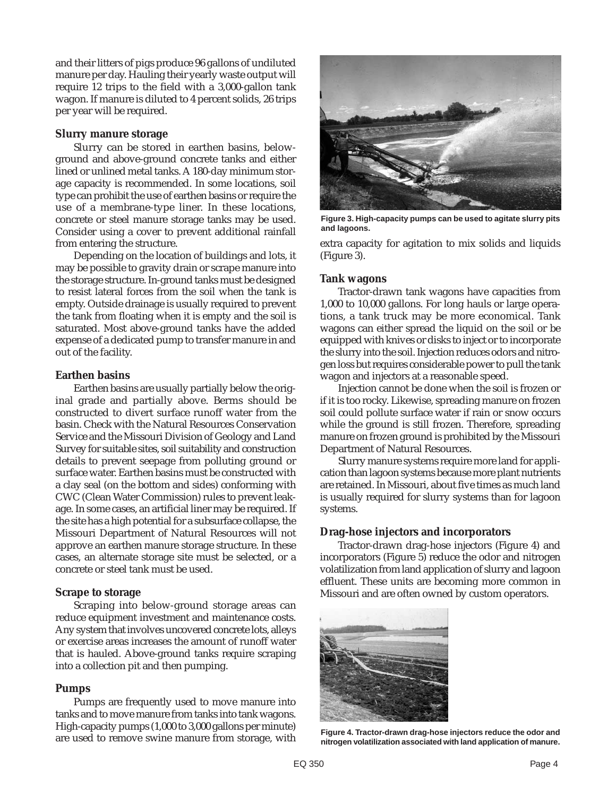and their litters of pigs produce 96 gallons of undiluted manure per day. Hauling their yearly waste output will require 12 trips to the field with a 3,000-gallon tank wagon. If manure is diluted to 4 percent solids, 26 trips per year will be required.

#### **Slurry manure storage**

Slurry can be stored in earthen basins, belowground and above-ground concrete tanks and either lined or unlined metal tanks. A 180-day minimum storage capacity is recommended. In some locations, soil type can prohibit the use of earthen basins or require the use of a membrane-type liner. In these locations, concrete or steel manure storage tanks may be used. Consider using a cover to prevent additional rainfall from entering the structure.

Depending on the location of buildings and lots, it may be possible to gravity drain or scrape manure into the storage structure. In-ground tanks must be designed to resist lateral forces from the soil when the tank is empty. Outside drainage is usually required to prevent the tank from floating when it is empty and the soil is saturated. Most above-ground tanks have the added expense of a dedicated pump to transfer manure in and out of the facility.

#### **Earthen basins**

Earthen basins are usually partially below the original grade and partially above. Berms should be constructed to divert surface runoff water from the basin. Check with the Natural Resources Conservation Service and the Missouri Division of Geology and Land Survey for suitable sites, soil suitability and construction details to prevent seepage from polluting ground or surface water. Earthen basins must be constructed with a clay seal (on the bottom and sides) conforming with CWC (Clean Water Commission) rules to prevent leakage. In some cases, an artificial liner may be required. If the site has a high potential for a subsurface collapse, the Missouri Department of Natural Resources will not approve an earthen manure storage structure. In these cases, an alternate storage site must be selected, or a concrete or steel tank must be used.

#### **Scrape to storage**

Scraping into below-ground storage areas can reduce equipment investment and maintenance costs. Any system that involves uncovered concrete lots, alleys or exercise areas increases the amount of runoff water that is hauled. Above-ground tanks require scraping into a collection pit and then pumping.

#### **Pumps**

Pumps are frequently used to move manure into tanks and to move manure from tanks into tank wagons. High-capacity pumps (1,000 to 3,000 gallons per minute) are used to remove swine manure from storage, with



**Figure 3. High-capacity pumps can be used to agitate slurry pits and lagoons.**

extra capacity for agitation to mix solids and liquids (Figure 3).

#### **Tank wagons**

Tractor-drawn tank wagons have capacities from 1,000 to 10,000 gallons. For long hauls or large operations, a tank truck may be more economical. Tank wagons can either spread the liquid on the soil or be equipped with knives or disks to inject or to incorporate the slurry into the soil. Injection reduces odors and nitrogen loss but requires considerable power to pull the tank wagon and injectors at a reasonable speed.

Injection cannot be done when the soil is frozen or if it is too rocky. Likewise, spreading manure on frozen soil could pollute surface water if rain or snow occurs while the ground is still frozen. Therefore, spreading manure on frozen ground is prohibited by the Missouri Department of Natural Resources.

Slurry manure systems require more land for application than lagoon systems because more plant nutrients are retained. In Missouri, about five times as much land is usually required for slurry systems than for lagoon systems.

#### **Drag-hose injectors and incorporators**

Tractor-drawn drag-hose injectors (Figure 4) and incorporators (Figure 5) reduce the odor and nitrogen volatilization from land application of slurry and lagoon effluent. These units are becoming more common in Missouri and are often owned by custom operators.



**Figure 4. Tractor-drawn drag-hose injectors reduce the odor and nitrogen volatilization associated with land application of manure.**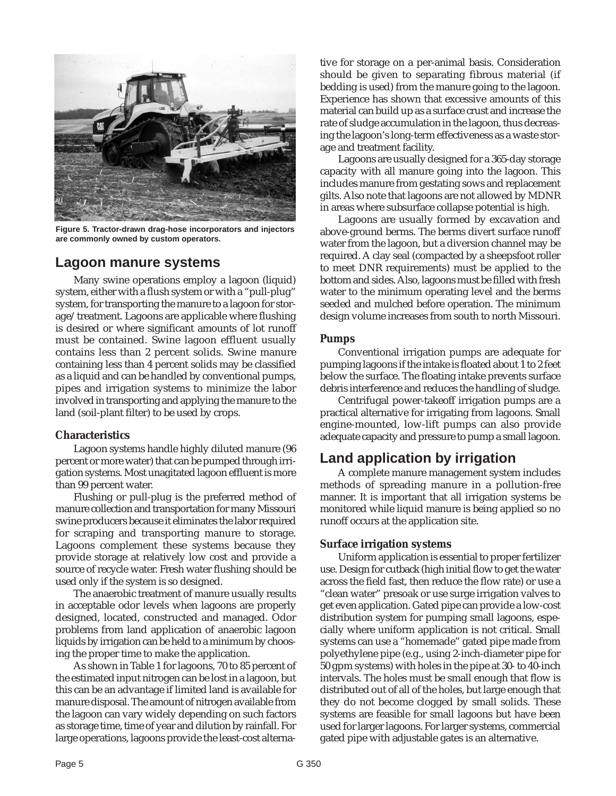

**Figure 5. Tractor-drawn drag-hose incorporators and injectors are commonly owned by custom operators.**

#### **Lagoon manure systems**

Many swine operations employ a lagoon (liquid) system, either with a flush system or with a "pull-plug" system, for transporting the manure to a lagoon for storage/treatment. Lagoons are applicable where flushing is desired or where significant amounts of lot runoff must be contained. Swine lagoon effluent usually contains less than 2 percent solids. Swine manure containing less than 4 percent solids may be classified as a liquid and can be handled by conventional pumps, pipes and irrigation systems to minimize the labor involved in transporting and applying the manure to the land (soil-plant filter) to be used by crops.

#### **Characteristics**

Lagoon systems handle highly diluted manure (96 percent or more water) that can be pumped through irrigation systems. Most unagitated lagoon effluent is more than 99 percent water.

Flushing or pull-plug is the preferred method of manure collection and transportation for many Missouri swine producers because it eliminates the labor required for scraping and transporting manure to storage. Lagoons complement these systems because they provide storage at relatively low cost and provide a source of recycle water. Fresh water flushing should be used only if the system is so designed.

The anaerobic treatment of manure usually results in acceptable odor levels when lagoons are properly designed, located, constructed and managed. Odor problems from land application of anaerobic lagoon liquids by irrigation can be held to a minimum by choosing the proper time to make the application.

As shown in Table 1 for lagoons, 70 to 85 percent of the estimated input nitrogen can be lost in a lagoon, but this can be an advantage if limited land is available for manure disposal. The amount of nitrogen available from the lagoon can vary widely depending on such factors as storage time, time of year and dilution by rainfall. For large operations, lagoons provide the least-cost alternative for storage on a per-animal basis. Consideration should be given to separating fibrous material (if bedding is used) from the manure going to the lagoon. Experience has shown that excessive amounts of this material can build up as a surface crust and increase the rate of sludge accumulation in the lagoon, thus decreasing the lagoon's long-term effectiveness as a waste storage and treatment facility.

Lagoons are usually designed for a 365-day storage capacity with all manure going into the lagoon. This includes manure from gestating sows and replacement gilts. Also note that lagoons are not allowed by MDNR in areas where subsurface collapse potential is high.

Lagoons are usually formed by excavation and above-ground berms. The berms divert surface runoff water from the lagoon, but a diversion channel may be required. A clay seal (compacted by a sheepsfoot roller to meet DNR requirements) must be applied to the bottom and sides. Also, lagoons must be filled with fresh water to the minimum operating level and the berms seeded and mulched before operation. The minimum design volume increases from south to north Missouri.

#### **Pumps**

Conventional irrigation pumps are adequate for pumping lagoons if the intake is floated about 1 to 2 feet below the surface. The floating intake prevents surface debris interference and reduces the handling of sludge.

Centrifugal power-takeoff irrigation pumps are a practical alternative for irrigating from lagoons. Small engine-mounted, low-lift pumps can also provide adequate capacity and pressure to pump a small lagoon.

## **Land application by irrigation**

A complete manure management system includes methods of spreading manure in a pollution-free manner. It is important that all irrigation systems be monitored while liquid manure is being applied so no runoff occurs at the application site.

#### **Surface irrigation systems**

Uniform application is essential to proper fertilizer use. Design for cutback (high initial flow to get the water across the field fast, then reduce the flow rate) or use a "clean water" presoak or use surge irrigation valves to get even application. Gated pipe can provide a low-cost distribution system for pumping small lagoons, especially where uniform application is not critical. Small systems can use a "homemade" gated pipe made from polyethylene pipe (e.g., using 2-inch-diameter pipe for 50 gpm systems) with holes in the pipe at 30- to 40-inch intervals. The holes must be small enough that flow is distributed out of all of the holes, but large enough that they do not become clogged by small solids. These systems are feasible for small lagoons but have been used for larger lagoons. For larger systems, commercial gated pipe with adjustable gates is an alternative.